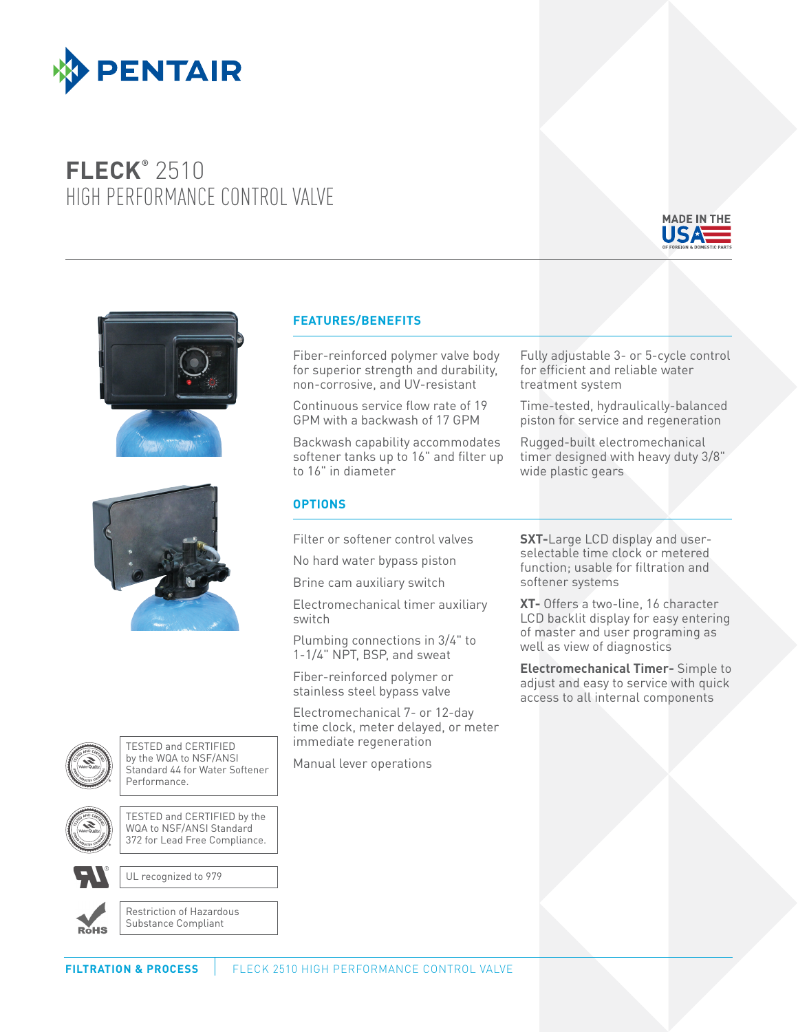

## **FLECK®** 2510 HIGH PERFORMANCE CONTROL VALVE







## **FEATURES/BENEFITS**

Fiber-reinforced polymer valve body for superior strength and durability, non-corrosive, and UV-resistant

Continuous service flow rate of 19 GPM with a backwash of 17 GPM

Backwash capability accommodates softener tanks up to 16" and filter up to 16" in diameter

## **OPTIONS**

Filter or softener control valves

No hard water bypass piston

Brine cam auxiliary switch

Electromechanical timer auxiliary switch

Plumbing connections in 3/4" to 1-1/4" NPT, BSP, and sweat

Fiber-reinforced polymer or stainless steel bypass valve

Electromechanical 7- or 12-day time clock, meter delayed, or meter immediate regeneration

Manual lever operations

Fully adjustable 3- or 5-cycle control for efficient and reliable water treatment system

Time-tested, hydraulically-balanced piston for service and regeneration

Rugged-built electromechanical timer designed with heavy duty 3/8" wide plastic gears

**SXT-**Large LCD display and userselectable time clock or metered function; usable for filtration and softener systems

**XT-** Offers a two-line, 16 character LCD backlit display for easy entering of master and user programing as well as view of diagnostics

**Electromechanical Timer-** Simple to adjust and easy to service with quick access to all internal components



TESTED and CERTIFIED by the WQA to NSF/ANSI Standard 44 for Water Softener Performance.



TESTED and CERTIFIED by the WQA to NSF/ANSI Standard 372 for Lead Free Compliance.

UL recognized to 979



Restriction of Hazardous Substance Compliant